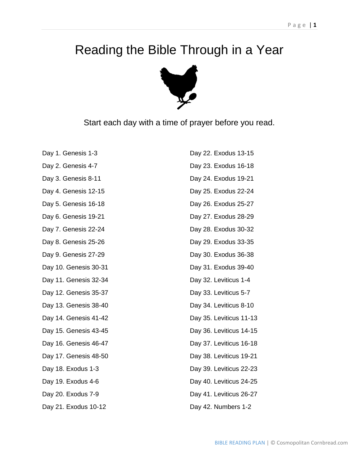## Reading the Bible Through in a Year



Start each day with a time of prayer before you read.

| Day 1. Genesis 1-3    | Day 22. Exodus 13-15    |
|-----------------------|-------------------------|
| Day 2. Genesis 4-7    | Day 23. Exodus 16-18    |
| Day 3. Genesis 8-11   | Day 24. Exodus 19-21    |
| Day 4. Genesis 12-15  | Day 25. Exodus 22-24    |
| Day 5. Genesis 16-18  | Day 26. Exodus 25-27    |
| Day 6. Genesis 19-21  | Day 27. Exodus 28-29    |
| Day 7. Genesis 22-24  | Day 28. Exodus 30-32    |
| Day 8. Genesis 25-26  | Day 29. Exodus 33-35    |
| Day 9. Genesis 27-29  | Day 30. Exodus 36-38    |
| Day 10. Genesis 30-31 | Day 31. Exodus 39-40    |
| Day 11. Genesis 32-34 | Day 32. Leviticus 1-4   |
| Day 12. Genesis 35-37 | Day 33. Leviticus 5-7   |
| Day 13. Genesis 38-40 | Day 34. Leviticus 8-10  |
| Day 14. Genesis 41-42 | Day 35. Leviticus 11-13 |
| Day 15. Genesis 43-45 | Day 36. Leviticus 14-15 |
| Day 16. Genesis 46-47 | Day 37. Leviticus 16-18 |
| Day 17. Genesis 48-50 | Day 38. Leviticus 19-21 |
| Day 18. Exodus 1-3    | Day 39. Leviticus 22-23 |
| Day 19. Exodus 4-6    | Day 40. Leviticus 24-25 |
| Day 20. Exodus 7-9    | Day 41. Leviticus 26-27 |
| Day 21. Exodus 10-12  | Day 42. Numbers 1-2     |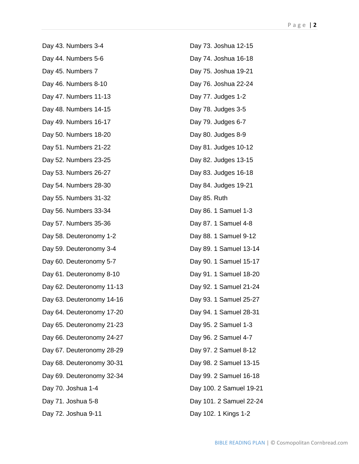Day 43. Numbers 3-4 Day 44. Numbers 5-6 Day 45. Numbers 7 Day 46. Numbers 8-10 Day 47. Numbers 11-13 Day 48. Numbers 14-15 Day 49. Numbers 16-17 Day 50. Numbers 18-20 Day 51. Numbers 21-22 Day 52. Numbers 23-25 Day 53. Numbers 26-27 Day 54. Numbers 28-30 Day 55. Numbers 31-32 Day 56. Numbers 33-34 Day 57. Numbers 35-36 Day 58. Deuteronomy 1-2 Day 59. Deuteronomy 3-4 Day 60. Deuteronomy 5-7 Day 61. Deuteronomy 8-10 Day 62. Deuteronomy 11-13 Day 63. Deuteronomy 14-16 Day 64. Deuteronomy 17-20 Day 65. Deuteronomy 21-23 Day 66. Deuteronomy 24-27 Day 67. Deuteronomy 28-29 Day 68. Deuteronomy 30-31 Day 69. Deuteronomy 32-34 Day 70. Joshua 1-4 Day 71. Joshua 5-8 Day 72. Joshua 9-11

Day 73. Joshua 12-15 Day 74. Joshua 16-18 Day 75. Joshua 19-21 Day 76. Joshua 22-24 Day 77. Judges 1-2 Day 78. Judges 3-5 Day 79. Judges 6-7 Day 80. Judges 8-9 Day 81. Judges 10-12 Day 82. Judges 13-15 Day 83. Judges 16-18 Day 84. Judges 19-21 Day 85. Ruth Day 86. 1 Samuel 1-3 Day 87. 1 Samuel 4-8 Day 88. 1 Samuel 9-12 Day 89. 1 Samuel 13-14 Day 90. 1 Samuel 15-17 Day 91. 1 Samuel 18-20 Day 92. 1 Samuel 21-24 Day 93. 1 Samuel 25-27 Day 94. 1 Samuel 28-31 Day 95. 2 Samuel 1-3 Day 96. 2 Samuel 4-7 Day 97. 2 Samuel 8-12 Day 98. 2 Samuel 13-15 Day 99. 2 Samuel 16-18 Day 100. 2 Samuel 19-21 Day 101. 2 Samuel 22-24 Day 102. 1 Kings 1-2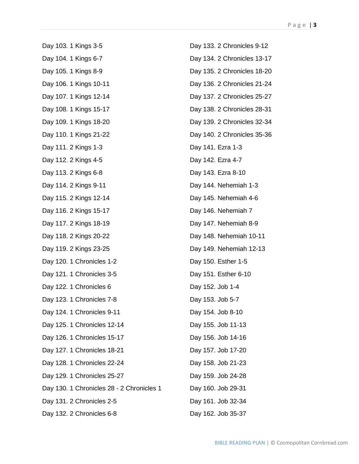Day 103. 1 Kings 3-5 Day 104. 1 Kings 6-7 Day 105. 1 Kings 8-9 Day 106. 1 Kings 10-11 Day 107. 1 Kings 12-14 Day 108. 1 Kings 15-17 Day 109. 1 Kings 18-20 Day 110. 1 Kings 21-22 Day 111. 2 Kings 1-3 Day 112. 2 Kings 4-5 Day 113. 2 Kings 6-8 Day 114. 2 Kings 9-11 Day 115. 2 Kings 12-14 Day 116. 2 Kings 15-17 Day 117. 2 Kings 18-19 Day 118. 2 Kings 20-22 Day 119. 2 Kings 23-25 Day 120. 1 Chronicles 1-2 Day 121. 1 Chronicles 3-5 Day 122. 1 Chronicles 6 Day 123. 1 Chronicles 7-8 Day 124. 1 Chronicles 9-11 Day 125. 1 Chronicles 12-14 Day 126. 1 Chronicles 15-17 Day 127. 1 Chronicles 18-21 Day 128. 1 Chronicles 22-24 Day 129. 1 Chronicles 25-27 Day 130. 1 Chronicles 28 - 2 Chronicles 1 Day 131. 2 Chronicles 2-5 Day 132. 2 Chronicles 6-8

Day 133. 2 Chronicles 9-12 Day 134. 2 Chronicles 13-17 Day 135. 2 Chronicles 18-20 Day 136. 2 Chronicles 21-24 Day 137. 2 Chronicles 25-27 Day 138. 2 Chronicles 28-31 Day 139. 2 Chronicles 32-34 Day 140. 2 Chronicles 35-36 Day 141. Ezra 1-3 Day 142. Ezra 4-7 Day 143. Ezra 8-10 Day 144. Nehemiah 1-3 Day 145. Nehemiah 4-6 Day 146. Nehemiah 7 Day 147. Nehemiah 8-9 Day 148. Nehemiah 10-11 Day 149. Nehemiah 12-13 Day 150. Esther 1-5 Day 151. Esther 6-10 Day 152. Job 1-4 Day 153. Job 5-7 Day 154. Job 8-10 Day 155. Job 11-13 Day 156. Job 14-16 Day 157. Job 17-20 Day 158. Job 21-23 Day 159. Job 24-28 Day 160. Job 29-31 Day 161. Job 32-34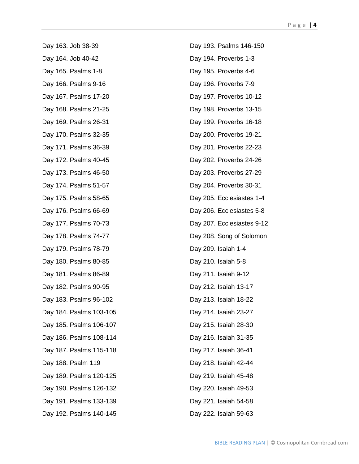Day 163. Job 38-39 Day 164. Job 40-42 Day 165. Psalms 1-8 Day 166. Psalms 9-16 Day 167. Psalms 17-20 Day 168. Psalms 21-25 Day 169. Psalms 26-31 Day 170. Psalms 32-35 Day 171. Psalms 36-39 Day 172. Psalms 40-45 Day 173. Psalms 46-50 Day 174. Psalms 51-57 Day 175. Psalms 58-65 Day 176. Psalms 66-69 Day 177. Psalms 70-73 Day 178. Psalms 74-77 Day 179. Psalms 78-79 Day 180. Psalms 80-85 Day 181. Psalms 86-89 Day 182. Psalms 90-95 Day 183. Psalms 96-102 Day 184. Psalms 103-105 Day 185. Psalms 106-107 Day 186. Psalms 108-114 Day 187. Psalms 115-118 Day 188. Psalm 119 Day 189. Psalms 120-125 Day 190. Psalms 126-132 Day 191. Psalms 133-139 Day 192. Psalms 140-145

Day 193. Psalms 146-150 Day 194. Proverbs 1-3 Day 195. Proverbs 4-6 Day 196. Proverbs 7-9 Day 197. Proverbs 10-12 Day 198. Proverbs 13-15 Day 199. Proverbs 16-18 Day 200. Proverbs 19-21 Day 201. Proverbs 22-23 Day 202. Proverbs 24-26 Day 203. Proverbs 27-29 Day 204. Proverbs 30-31 Day 205. Ecclesiastes 1-4 Day 206. Ecclesiastes 5-8 Day 207. Ecclesiastes 9-12 Day 208. Song of Solomon Day 209. Isaiah 1-4 Day 210. Isaiah 5-8 Day 211. Isaiah 9-12 Day 212. Isaiah 13-17 Day 213. Isaiah 18-22 Day 214. Isaiah 23-27 Day 215. Isaiah 28-30 Day 216. Isaiah 31-35 Day 217. Isaiah 36-41 Day 218. Isaiah 42-44 Day 219. Isaiah 45-48 Day 220. Isaiah 49-53 Day 221. Isaiah 54-58 Day 222. Isaiah 59-63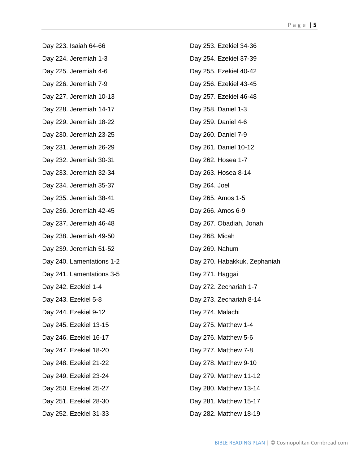Day 223. Isaiah 64-66 Day 224. Jeremiah 1-3 Day 225. Jeremiah 4-6 Day 226. Jeremiah 7-9 Day 227. Jeremiah 10-13 Day 228. Jeremiah 14-17 Day 229. Jeremiah 18-22 Day 230. Jeremiah 23-25 Day 231. Jeremiah 26-29 Day 232. Jeremiah 30-31 Day 233. Jeremiah 32-34 Day 234. Jeremiah 35-37 Day 235. Jeremiah 38-41 Day 236. Jeremiah 42-45 Day 237. Jeremiah 46-48 Day 238. Jeremiah 49-50 Day 239. Jeremiah 51-52 Day 240. Lamentations 1-2 Day 241. Lamentations 3-5 Day 242. Ezekiel 1-4 Day 243. Ezekiel 5-8 Day 244. Ezekiel 9-12 Day 245. Ezekiel 13-15 Day 246. Ezekiel 16-17 Day 247. Ezekiel 18-20 Day 248. Ezekiel 21-22 Day 249. Ezekiel 23-24 Day 250. Ezekiel 25-27 Day 251. Ezekiel 28-30 Day 252. Ezekiel 31-33

Day 253. Ezekiel 34-36 Day 254. Ezekiel 37-39 Day 255. Ezekiel 40-42 Day 256. Ezekiel 43-45 Day 257. Ezekiel 46-48 Day 258. Daniel 1-3 Day 259. Daniel 4-6 Day 260. Daniel 7-9 Day 261. Daniel 10-12 Day 262. Hosea 1-7 Day 263. Hosea 8-14 Day 264. Joel Day 265. Amos 1-5 Day 266. Amos 6-9 Day 267. Obadiah, Jonah Day 268. Micah Day 269. Nahum Day 270. Habakkuk, Zephaniah Day 271. Haggai Day 272. Zechariah 1-7 Day 273. Zechariah 8-14 Day 274. Malachi Day 275. Matthew 1-4 Day 276. Matthew 5-6 Day 277. Matthew 7-8 Day 278. Matthew 9-10 Day 279. Matthew 11-12 Day 280. Matthew 13-14 Day 281. Matthew 15-17 Day 282. Matthew 18-19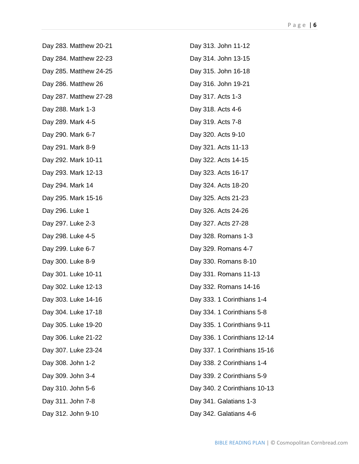Day 283. Matthew 20-21 Day 284. Matthew 22-23 Day 285. Matthew 24-25 Day 286. Matthew 26 Day 287. Matthew 27-28 Day 288. Mark 1-3 Day 289. Mark 4-5 Day 290. Mark 6-7 Day 291. Mark 8-9 Day 292. Mark 10-11 Day 293. Mark 12-13 Day 294. Mark 14 Day 295. Mark 15-16 Day 296. Luke 1 Day 297. Luke 2-3 Day 298. Luke 4-5 Day 299. Luke 6-7 Day 300. Luke 8-9 Day 301. Luke 10-11 Day 302. Luke 12-13 Day 303. Luke 14-16 Day 304. Luke 17-18 Day 305. Luke 19-20 Day 306. Luke 21-22 Day 307. Luke 23-24 Day 308. John 1-2 Day 309. John 3-4 Day 310. John 5-6 Day 311. John 7-8 Day 312. John 9-10

Day 313. John 11-12 Day 314. John 13-15 Day 315. John 16-18 Day 316. John 19-21 Day 317. Acts 1-3 Day 318. Acts 4-6 Day 319. Acts 7-8 Day 320. Acts 9-10 Day 321. Acts 11-13 Day 322. Acts 14-15 Day 323. Acts 16-17 Day 324. Acts 18-20 Day 325. Acts 21-23 Day 326. Acts 24-26 Day 327. Acts 27-28 Day 328. Romans 1-3 Day 329. Romans 4-7 Day 330. Romans 8-10 Day 331. Romans 11-13 Day 332. Romans 14-16 Day 333. 1 Corinthians 1-4 Day 334. 1 Corinthians 5-8 Day 335. 1 Corinthians 9-11 Day 336. 1 Corinthians 12-14 Day 337. 1 Corinthians 15-16 Day 338. 2 Corinthians 1-4 Day 339. 2 Corinthians 5-9 Day 340. 2 Corinthians 10-13 Day 341. Galatians 1-3 Day 342. Galatians 4-6